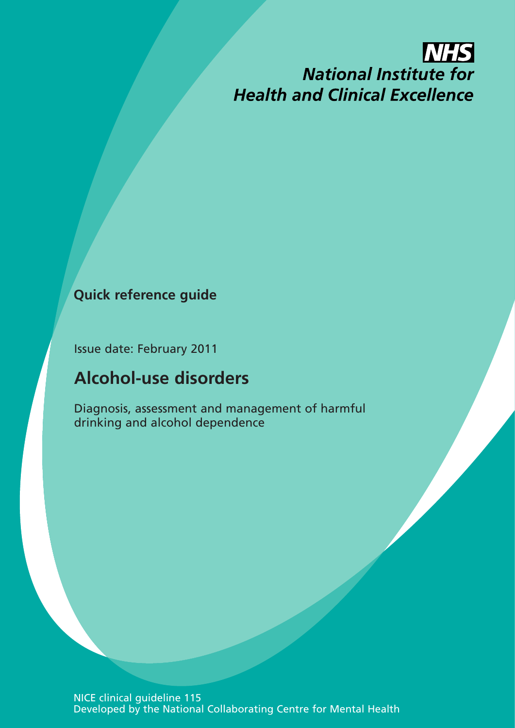# **NHS National Institute for Health and Clinical Excellence**

## **Quick reference guide**

Issue date: February 2011

## **Alcohol-use disorders**

Diagnosis, assessment and management of harmful drinking and alcohol dependence

NICE clinical guideline 115 Developed by the National Collaborating Centre for Mental Health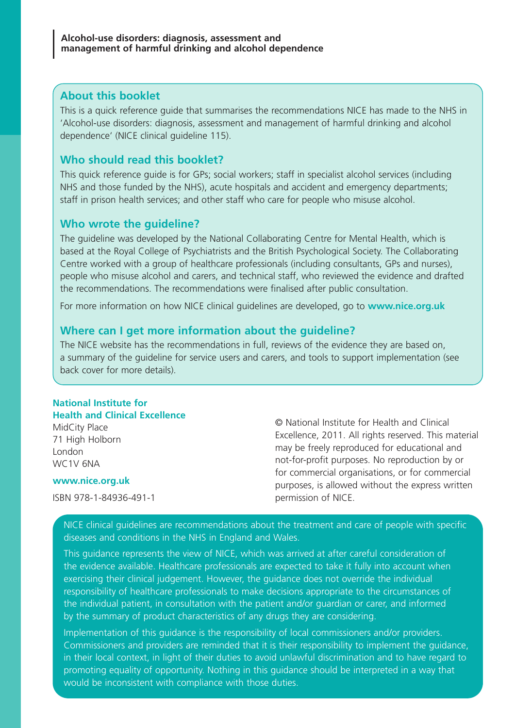### **About this booklet**

This is a quick reference guide that summarises the recommendations NICE has made to the NHS in 'Alcohol-use disorders: diagnosis, assessment and management of harmful drinking and alcohol dependence' (NICE clinical guideline 115).

## **Who should read this booklet?**

This quick reference guide is for GPs; social workers; staff in specialist alcohol services (including NHS and those funded by the NHS), acute hospitals and accident and emergency departments; staff in prison health services; and other staff who care for people who misuse alcohol.

## **Who wrote the guideline?**

The guideline was developed by the National Collaborating Centre for Mental Health, which is based at the Royal College of Psychiatrists and the British Psychological Society. The Collaborating Centre worked with a group of healthcare professionals (including consultants, GPs and nurses), people who misuse alcohol and carers, and technical staff, who reviewed the evidence and drafted the recommendations. The recommendations were finalised after public consultation.

For more information on how NICE clinical guidelines are developed, go to **www.nice.org.uk**

### **Where can I get more information about the guideline?**

The NICE website has the recommendations in full, reviews of the evidence they are based on, a summary of the guideline for service users and carers, and tools to support implementation (see back cover for more details).

#### **National Institute for Health and Clinical Excellence**

MidCity Place 71 High Holborn London WC1V 6NA

#### **www.nice.org.uk**

ISBN 978-1-84936-491-1

© National Institute for Health and Clinical Excellence, 2011. All rights reserved. This material may be freely reproduced for educational and not-for-profit purposes. No reproduction by or for commercial organisations, or for commercial purposes, is allowed without the express written permission of NICE.

NICE clinical guidelines are recommendations about the treatment and care of people with specific diseases and conditions in the NHS in England and Wales.

This guidance represents the view of NICE, which was arrived at after careful consideration of the evidence available. Healthcare professionals are expected to take it fully into account when exercising their clinical judgement. However, the guidance does not override the individual responsibility of healthcare professionals to make decisions appropriate to the circumstances of the individual patient, in consultation with the patient and/or guardian or carer, and informed by the summary of product characteristics of any drugs they are considering.

Implementation of this guidance is the responsibility of local commissioners and/or providers. Commissioners and providers are reminded that it is their responsibility to implement the guidance, in their local context, in light of their duties to avoid unlawful discrimination and to have regard to promoting equality of opportunity. Nothing in this guidance should be interpreted in a way that would be inconsistent with compliance with those duties.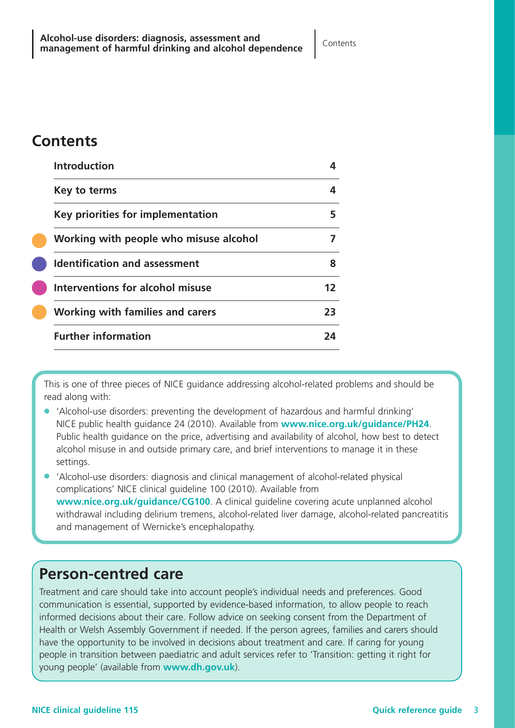## **Contents**

| <b>Introduction</b>                    |    |
|----------------------------------------|----|
| Key to terms                           |    |
| Key priorities for implementation      | 5  |
| Working with people who misuse alcohol |    |
| <b>Identification and assessment</b>   | 8  |
| Interventions for alcohol misuse       | 17 |
| Working with families and carers       | 73 |
| <b>Further information</b>             | 2Δ |

This is one of three pieces of NICE guidance addressing alcohol-related problems and should be read along with:

- 'Alcohol-use disorders: preventing the development of hazardous and harmful drinking' NICE public health guidance 24 (2010). Available from **www.nice.org.uk/guidance/PH24**. Public health guidance on the price, advertising and availability of alcohol, how best to detect alcohol misuse in and outside primary care, and brief interventions to manage it in these settings.
- 'Alcohol-use disorders: diagnosis and clinical management of alcohol-related physical complications' NICE clinical guideline 100 (2010). Available from **www.nice.org.uk/guidance/CG100**. A clinical guideline covering acute unplanned alcohol withdrawal including delirium tremens, alcohol-related liver damage, alcohol-related pancreatitis and management of Wernicke's encephalopathy.

## **Person-centred care**

Treatment and care should take into account people's individual needs and preferences. Good communication is essential, supported by evidence-based information, to allow people to reach informed decisions about their care. Follow advice on seeking consent from the Department of Health or Welsh Assembly Government if needed. If the person agrees, families and carers should have the opportunity to be involved in decisions about treatment and care. If caring for young people in transition between paediatric and adult services refer to 'Transition: getting it right for young people' (available from **www.dh.gov.uk**).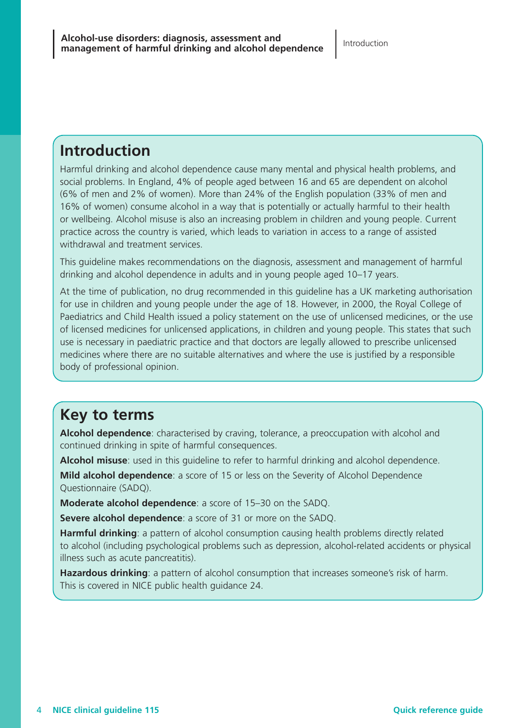## **Introduction**

Harmful drinking and alcohol dependence cause many mental and physical health problems, and social problems. In England, 4% of people aged between 16 and 65 are dependent on alcohol (6% of men and 2% of women). More than 24% of the English population (33% of men and 16% of women) consume alcohol in a way that is potentially or actually harmful to their health or wellbeing. Alcohol misuse is also an increasing problem in children and young people. Current practice across the country is varied, which leads to variation in access to a range of assisted withdrawal and treatment services.

This guideline makes recommendations on the diagnosis, assessment and management of harmful drinking and alcohol dependence in adults and in young people aged 10–17 years.

At the time of publication, no drug recommended in this guideline has a UK marketing authorisation for use in children and young people under the age of 18. However, in 2000, the Royal College of Paediatrics and Child Health issued a policy statement on the use of unlicensed medicines, or the use of licensed medicines for unlicensed applications, in children and young people. This states that such use is necessary in paediatric practice and that doctors are legally allowed to prescribe unlicensed medicines where there are no suitable alternatives and where the use is justified by a responsible body of professional opinion.

## **Key to terms**

**Alcohol dependence**: characterised by craving, tolerance, a preoccupation with alcohol and continued drinking in spite of harmful consequences.

**Alcohol misuse**: used in this guideline to refer to harmful drinking and alcohol dependence.

**Mild alcohol dependence**: a score of 15 or less on the Severity of Alcohol Dependence Questionnaire (SADQ).

**Moderate alcohol dependence**: a score of 15–30 on the SADQ.

**Severe alcohol dependence**: a score of 31 or more on the SADQ.

**Harmful drinking**: a pattern of alcohol consumption causing health problems directly related to alcohol (including psychological problems such as depression, alcohol-related accidents or physical illness such as acute pancreatitis).

Hazardous drinking: a pattern of alcohol consumption that increases someone's risk of harm. This is covered in NICE public health guidance 24.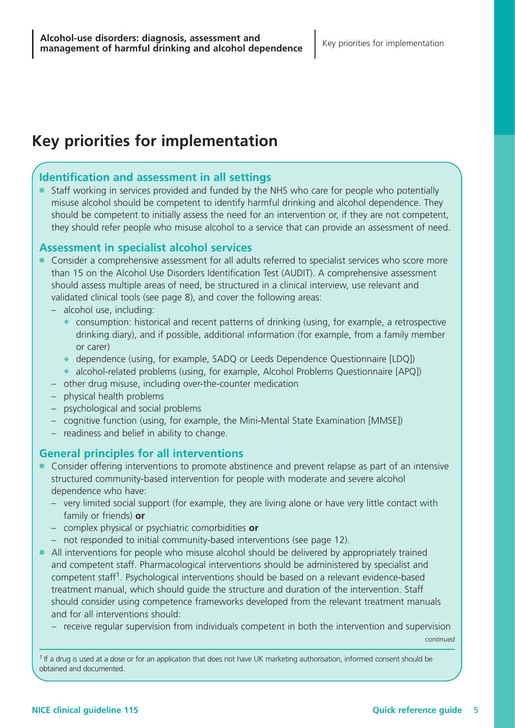## **Key priorities for implementation**

## **Identification and assessment in all settings**

Staff working in services provided and funded by the NHS who care for people who potentially misuse alcohol should be competent to identify harmful drinking and alcohol dependence. They should be competent to initially assess the need for an intervention or, if they are not competent, they should refer people who misuse alcohol to a service that can provide an assessment of need.

## **Assessment in specialist alcohol services**

- Consider a comprehensive assessment for all adults referred to specialist services who score more than 15 on the Alcohol Use Disorders Identification Test (AUDIT). A comprehensive assessment should assess multiple areas of need, be structured in a clinical interview, use relevant and validated clinical tools (see page 8), and cover the following areas:
	- alcohol use, including:
		- $\bullet$  consumption: historical and recent patterns of drinking (using, for example, a retrospective drinking diary), and if possible, additional information (for example, from a family member or carer)
		- ◆ dependence (using, for example, SADQ or Leeds Dependence Questionnaire [LDQ])
		- ◆ alcohol-related problems (using, for example, Alcohol Problems Questionnaire [APQ])
	- other drug misuse, including over-the-counter medication
	- physical health problems
	- psychological and social problems
	- cognitive function (using, for example, the Mini-Mental State Examination [MMSE])
	- readiness and belief in ability to change.

## **General principles for all interventions**

- Consider offering interventions to promote abstinence and prevent relapse as part of an intensive structured community-based intervention for people with moderate and severe alcohol dependence who have:
	- very limited social support (for example, they are living alone or have very little contact with family or friends) **or**
	- complex physical or psychiatric comorbidities **or**
	- not responded to initial community-based interventions (see page 12).
- All interventions for people who misuse alcohol should be delivered by appropriately trained and competent staff. Pharmacological interventions should be administered by specialist and competent staff 1 . Psychological interventions should be based on a relevant evidence-based treatment manual, which should guide the structure and duration of the intervention. Staff should consider using competence frameworks developed from the relevant treatment manuals and for all interventions should:
	- receive regular supervision from individuals competent in both the intervention and supervision

*continued*

<sup>1</sup> If a drug is used at a dose or for an application that does not have UK marketing authorisation, informed consent should be obtained and documented.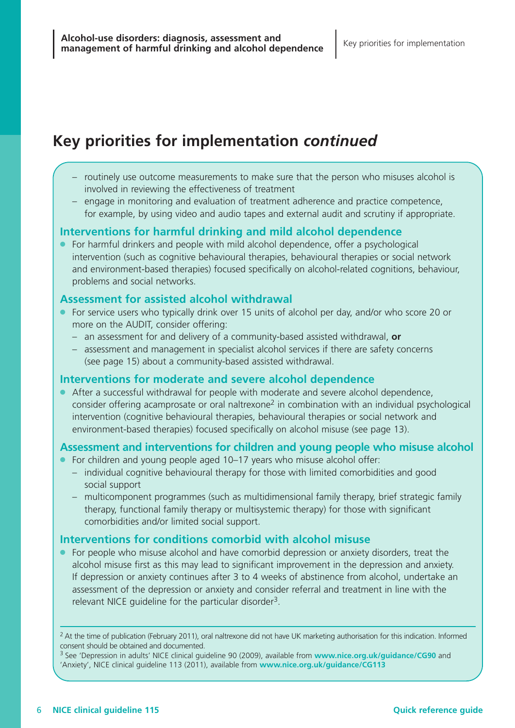## **Key priorities for implementation** *continued*

- routinely use outcome measurements to make sure that the person who misuses alcohol is involved in reviewing the effectiveness of treatment
- engage in monitoring and evaluation of treatment adherence and practice competence, for example, by using video and audio tapes and external audit and scrutiny if appropriate.

## **Interventions for harmful drinking and mild alcohol dependence**

● For harmful drinkers and people with mild alcohol dependence, offer a psychological intervention (such as cognitive behavioural therapies, behavioural therapies or social network and environment-based therapies) focused specifically on alcohol-related cognitions, behaviour, problems and social networks.

## **Assessment for assisted alcohol withdrawal**

- For service users who typically drink over 15 units of alcohol per day, and/or who score 20 or more on the AUDIT, consider offering:
	- an assessment for and delivery of a community-based assisted withdrawal, **or**
	- assessment and management in specialist alcohol services if there are safety concerns (see page 15) about a community-based assisted withdrawal.

#### **Interventions for moderate and severe alcohol dependence**

● After a successful withdrawal for people with moderate and severe alcohol dependence, consider offering acamprosate or oral naltrexone<sup>2</sup> in combination with an individual psychological intervention (cognitive behavioural therapies, behavioural therapies or social network and environment-based therapies) focused specifically on alcohol misuse (see page 13).

## **Assessment and interventions for children and young people who misuse alcohol**

- For children and young people aged 10–17 years who misuse alcohol offer:
	- individual cognitive behavioural therapy for those with limited comorbidities and good social support
	- multicomponent programmes (such as multidimensional family therapy, brief strategic family therapy, functional family therapy or multisystemic therapy) for those with significant comorbidities and/or limited social support.

## **Interventions for conditions comorbid with alcohol misuse**

● For people who misuse alcohol and have comorbid depression or anxiety disorders, treat the alcohol misuse first as this may lead to significant improvement in the depression and anxiety. If depression or anxiety continues after 3 to 4 weeks of abstinence from alcohol, undertake an assessment of the depression or anxiety and consider referral and treatment in line with the relevant NICE guideline for the particular disorder<sup>3</sup>.

<sup>2</sup> At the time of publication (February 2011), oral naltrexone did not have UK marketing authorisation for this indication. Informed consent should be obtained and documented.

<sup>3</sup> See 'Depression in adults' NICE clinical guideline 90 (2009), available from **www.nice.org.uk/guidance/CG90** and 'Anxiety', NICE clinical guideline 113 (2011), available from **www.nice.org.uk/guidance/CG113**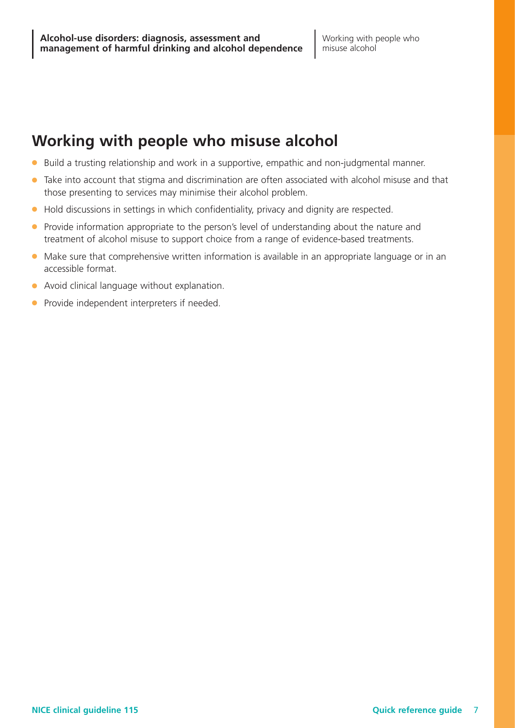## **Working with people who misuse alcohol**

- Build a trusting relationship and work in a supportive, empathic and non-judgmental manner.
- Take into account that stigma and discrimination are often associated with alcohol misuse and that those presenting to services may minimise their alcohol problem.
- Hold discussions in settings in which confidentiality, privacy and dignity are respected.
- Provide information appropriate to the person's level of understanding about the nature and treatment of alcohol misuse to support choice from a range of evidence-based treatments.
- Make sure that comprehensive written information is available in an appropriate language or in an accessible format.
- Avoid clinical language without explanation.
- Provide independent interpreters if needed.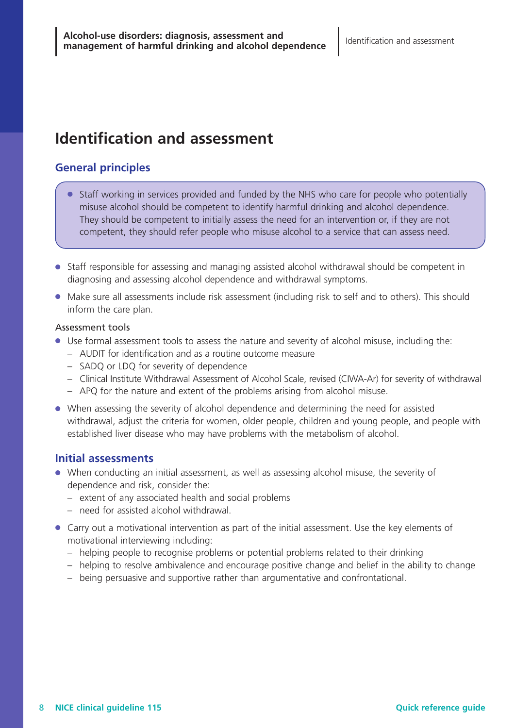## **Identification and assessment**

## **General principles**

- Staff working in services provided and funded by the NHS who care for people who potentially misuse alcohol should be competent to identify harmful drinking and alcohol dependence. They should be competent to initially assess the need for an intervention or, if they are not competent, they should refer people who misuse alcohol to a service that can assess need.
- Staff responsible for assessing and managing assisted alcohol withdrawal should be competent in diagnosing and assessing alcohol dependence and withdrawal symptoms.
- Make sure all assessments include risk assessment (including risk to self and to others). This should inform the care plan.

#### Assessment tools

- Use formal assessment tools to assess the nature and severity of alcohol misuse, including the:
	- AUDIT for identification and as a routine outcome measure
	- SADQ or LDQ for severity of dependence
	- Clinical Institute Withdrawal Assessment of Alcohol Scale, revised (CIWA-Ar) for severity of withdrawal
	- APQ for the nature and extent of the problems arising from alcohol misuse.
- When assessing the severity of alcohol dependence and determining the need for assisted withdrawal, adjust the criteria for women, older people, children and young people, and people with established liver disease who may have problems with the metabolism of alcohol.

## **Initial assessments**

- When conducting an initial assessment, as well as assessing alcohol misuse, the severity of dependence and risk, consider the:
	- extent of any associated health and social problems
	- need for assisted alcohol withdrawal.
- Carry out a motivational intervention as part of the initial assessment. Use the key elements of motivational interviewing including:
	- helping people to recognise problems or potential problems related to their drinking
	- helping to resolve ambivalence and encourage positive change and belief in the ability to change
	- being persuasive and supportive rather than argumentative and confrontational.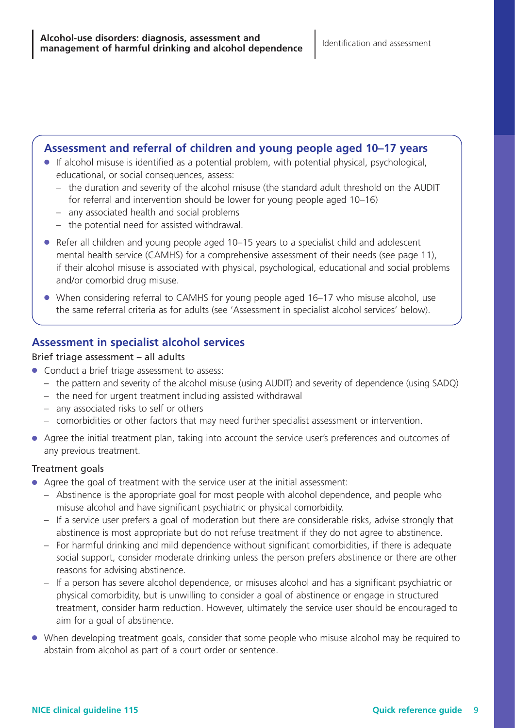## **Assessment and referral of children and young people aged 10–17 years**

- If alcohol misuse is identified as a potential problem, with potential physical, psychological, educational, or social consequences, assess:
	- the duration and severity of the alcohol misuse (the standard adult threshold on the AUDIT for referral and intervention should be lower for young people aged 10–16)
	- any associated health and social problems
	- the potential need for assisted withdrawal.
- Refer all children and young people aged 10–15 years to a specialist child and adolescent mental health service (CAMHS) for a comprehensive assessment of their needs (see page 11), if their alcohol misuse is associated with physical, psychological, educational and social problems and/or comorbid drug misuse.
- When considering referral to CAMHS for young people aged 16–17 who misuse alcohol, use the same referral criteria as for adults (see 'Assessment in specialist alcohol services' below).

## **Assessment in specialist alcohol services**

#### Brief triage assessment – all adults

- Conduct a brief triage assessment to assess:
	- the pattern and severity of the alcohol misuse (using AUDIT) and severity of dependence (using SADQ)
	- the need for urgent treatment including assisted withdrawal
	- any associated risks to self or others
	- comorbidities or other factors that may need further specialist assessment or intervention.
- Agree the initial treatment plan, taking into account the service user's preferences and outcomes of any previous treatment.

#### Treatment goals

- Agree the goal of treatment with the service user at the initial assessment:
	- Abstinence is the appropriate goal for most people with alcohol dependence, and people who misuse alcohol and have significant psychiatric or physical comorbidity.
	- If a service user prefers a goal of moderation but there are considerable risks, advise strongly that abstinence is most appropriate but do not refuse treatment if they do not agree to abstinence.
	- For harmful drinking and mild dependence without significant comorbidities, if there is adequate social support, consider moderate drinking unless the person prefers abstinence or there are other reasons for advising abstinence.
	- Ifaperson has severe alcohol dependence, or misuses alcohol and has a significant psychiatric or physical comorbidity, but is unwilling to consider a goal of abstinence or engage in structured treatment, consider harm reduction. However, ultimately the service user should be encouraged to aim for a goal of abstinence.
- When developing treatment goals, consider that some people who misuse alcohol may be required to abstain from alcohol as part of a court order or sentence.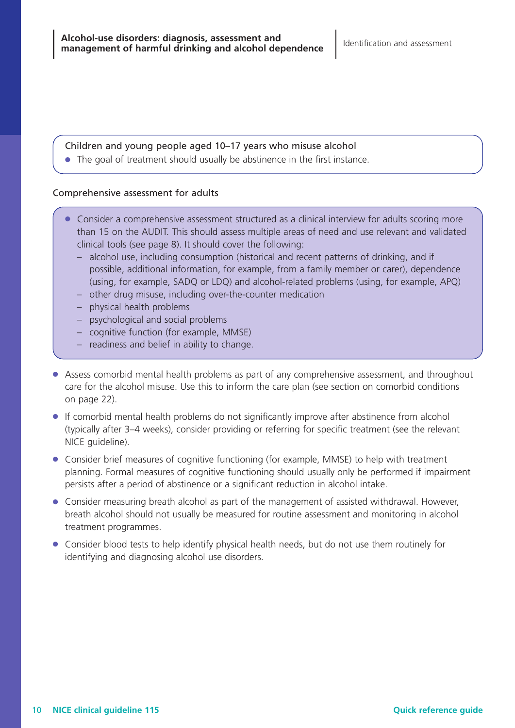#### Children and young people aged 10–17 years who misuse alcohol

● The goal of treatment should usually be abstinence in the first instance.

#### Comprehensive assessment for adults

- Consider a comprehensive assessment structured as a clinical interview for adults scoring more than 15 on the AUDIT. This should assess multiple areas of need and use relevant and validated clinical tools (see page 8). It should cover the following:
	- alcohol use, including consumption (historical and recent patterns of drinking, and if possible, additional information, for example, from a family member or carer), dependence (using, for example, SADQ or LDQ) and alcohol-related problems (using, for example, APQ)
	- other drug misuse, including over-the-counter medication
	- physical health problems
	- psychological and social problems
	- cognitive function (for example, MMSE)
	- readiness and belief in ability to change.
- Assess comorbid mental health problems as part of any comprehensive assessment, and throughout care for the alcohol misuse. Use this to inform the care plan (see section on comorbid conditions on page 22).
- If comorbid mental health problems do not significantly improve after abstinence from alcohol (typically after 3–4 weeks), consider providing or referring for specific treatment (see the relevant NICE guideline).
- Consider brief measures of cognitive functioning (for example, MMSE) to help with treatment planning. Formal measures of cognitive functioning should usually only be performed if impairment persists after a period of abstinence or a significant reduction in alcohol intake.
- Consider measuring breath alcohol as part of the management of assisted withdrawal. However, breath alcohol should not usually be measured for routine assessment and monitoring in alcohol treatment programmes.
- Consider blood tests to help identify physical health needs, but do not use them routinely for identifying and diagnosing alcohol use disorders.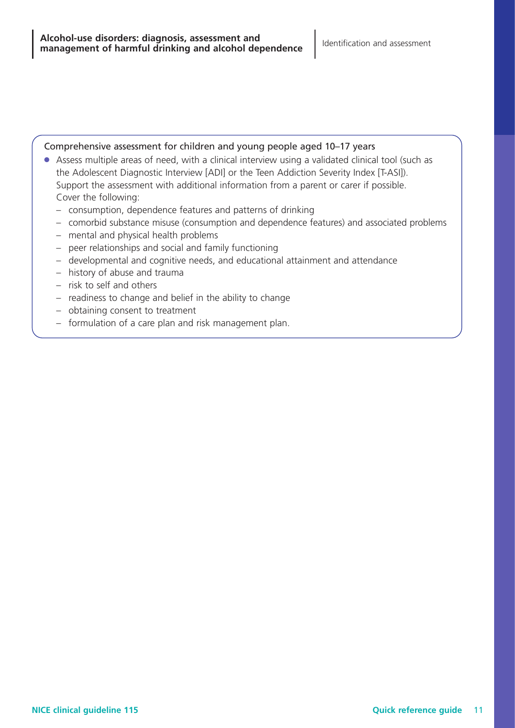#### Comprehensive assessment for children and young people aged 10–17 years

- Assess multiple areas of need, with a clinical interview using a validated clinical tool (such as the Adolescent Diagnostic Interview [ADI] or the Teen Addiction Severity Index [T-ASI]). Support the assessment with additional information from a parent or carer if possible. Cover the following:
	- consumption, dependence features and patterns of drinking
	- comorbid substance misuse (consumption and dependence features) and associated problems
	- mental and physical health problems
	- peer relationships and social and family functioning
	- developmental and cognitive needs, and educational attainment and attendance
	- history of abuse and trauma
	- risk to self and others
	- readiness to change and belief in the ability to change
	- obtaining consent to treatment
	- formulation of a care plan and risk management plan.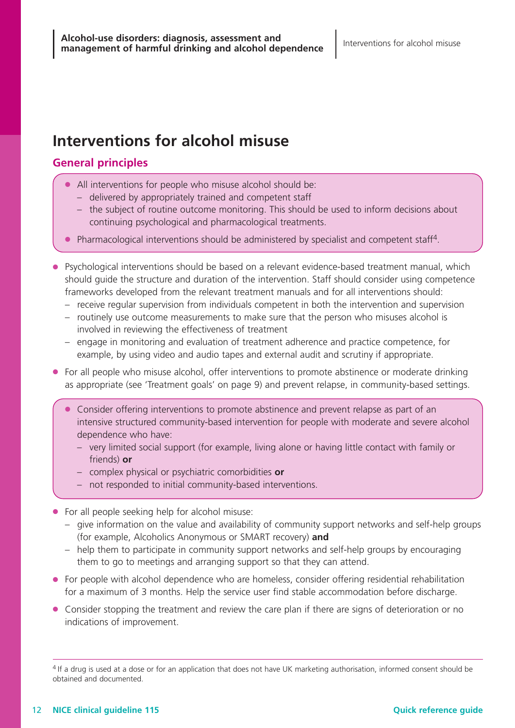## **Interventions for alcohol misuse**

## **General principles**

- All interventions for people who misuse alcohol should be:
	- delivered by appropriately trained and competent staff
	- the subject of routine outcome monitoring. This should be used to inform decisions about continuing psychological and pharmacological treatments.
- Pharmacological interventions should be administered by specialist and competent staff<sup>4</sup>.
- Psychological interventions should be based on a relevant evidence-based treatment manual, which should guide the structure and duration of the intervention. Staff should consider using competence frameworks developed from the relevant treatment manuals and for all interventions should:
	- receive regular supervision from individuals competent in both the intervention and supervision
	- routinely use outcome measurements to make sure that the person who misuses alcohol is involved in reviewing the effectiveness of treatment
	- engage in monitoring and evaluation of treatment adherence and practice competence, for example, by using video and audio tapes and external audit and scrutiny if appropriate.
- For all people who misuse alcohol, offer interventions to promote abstinence or moderate drinking as appropriate (see 'Treatment goals' on page 9) and prevent relapse, in community-based settings.
	- Consider offering interventions to promote abstinence and prevent relapse as part of an intensive structured community-based intervention for people with moderate and severe alcohol dependence who have:
		- very limited social support (for example, living alone or having little contact with family or friends) **or**
		- complex physical or psychiatric comorbidities **or**
		- not responded to initial community-based interventions.
- For all people seeking help for alcohol misuse:
	- give information on the value and availability of community support networks and self-help groups (for example, Alcoholics Anonymous or SMART recovery) **and**
	- help them to participate in community support networks and self-help groups by encouraging them to go to meetings and arranging support so that they can attend.
- For people with alcohol dependence who are homeless, consider offering residential rehabilitation for a maximum of 3 months. Help the service user find stable accommodation before discharge.
- Consider stopping the treatment and review the care plan if there are signs of deterioration or no indications of improvement.

<sup>&</sup>lt;sup>4</sup> If a drug is used at a dose or for an application that does not have UK marketing authorisation, informed consent should be obtained and documented.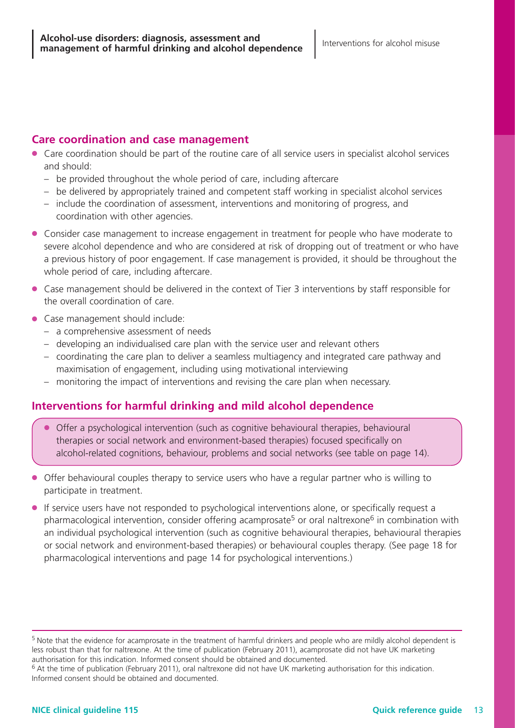### **Care coordination and case management**

- Care coordination should be part of the routine care of all service users in specialist alcohol services and should:
	- be provided throughout the whole period of care, including aftercare
	- be delivered by appropriately trained and competent staff working in specialist alcohol services
	- include the coordination of assessment, interventions and monitoring of progress, and coordination with other agencies.
- Consider case management to increase engagement in treatment for people who have moderate to severe alcohol dependence and who are considered at risk of dropping out of treatment or who have a previous history of poor engagement. If case management is provided, it should be throughout the whole period of care, including aftercare.
- Case management should be delivered in the context of Tier 3 interventions by staff responsible for the overall coordination of care.
- Case management should include:
	- a comprehensive assessment of needs
	- developing an individualised care plan with the service user and relevant others
	- coordinating the care plan to deliver a seamless multiagency and integrated care pathway and maximisation of engagement, including using motivational interviewing
	- monitoring the impact of interventions and revising the care plan when necessary.

## **Interventions for harmful drinking and mild alcohol dependence**

- Offer a psychological intervention (such as cognitive behavioural therapies, behavioural therapies or social network and environment-based therapies) focused specifically on alcohol-related cognitions, behaviour, problems and social networks (see table on page 14).
- Offer behavioural couples therapy to service users who have a regular partner who is willing to participate in treatment.
- If service users have not responded to psychological interventions alone, or specifically request a pharmacological intervention, consider offering acamprosate<sup>5</sup> or oral naltrexone<sup>6</sup> in combination with an individual psychological intervention (such as cognitive behavioural therapies, behavioural therapies or social network and environment-based therapies) or behavioural couples therapy. (See page 18 for pharmacological interventions and page 14 for psychological interventions.)

<sup>&</sup>lt;sup>5</sup> Note that the evidence for acamprosate in the treatment of harmful drinkers and people who are mildly alcohol dependent is less robust than that for naltrexone. At the time of publication (February 2011), acamprosate did not have UK marketing authorisation for this indication. Informed consent should be obtained and documented.

<sup>6</sup> At the time of publication (February 2011), oral naltrexone did not have UK marketing authorisation for this indication. Informed consent should be obtained and documented.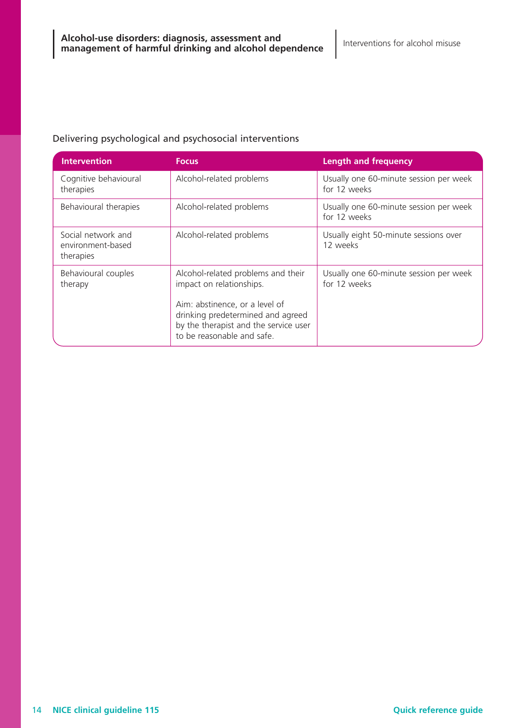#### Delivering psychological and psychosocial interventions

| <b>Intervention</b>                                  | <b>Focus</b>                                                                                                                                                                                                 | <b>Length and frequency</b>                            |
|------------------------------------------------------|--------------------------------------------------------------------------------------------------------------------------------------------------------------------------------------------------------------|--------------------------------------------------------|
| Cognitive behavioural<br>therapies                   | Alcohol-related problems                                                                                                                                                                                     | Usually one 60-minute session per week<br>for 12 weeks |
| Behavioural therapies                                | Alcohol-related problems                                                                                                                                                                                     | Usually one 60-minute session per week<br>for 12 weeks |
| Social network and<br>environment-based<br>therapies | Alcohol-related problems                                                                                                                                                                                     | Usually eight 50-minute sessions over<br>12 weeks      |
| Behavioural couples<br>therapy                       | Alcohol-related problems and their<br>impact on relationships.<br>Aim: abstinence, or a level of<br>drinking predetermined and agreed<br>by the therapist and the service user<br>to be reasonable and safe. | Usually one 60-minute session per week<br>for 12 weeks |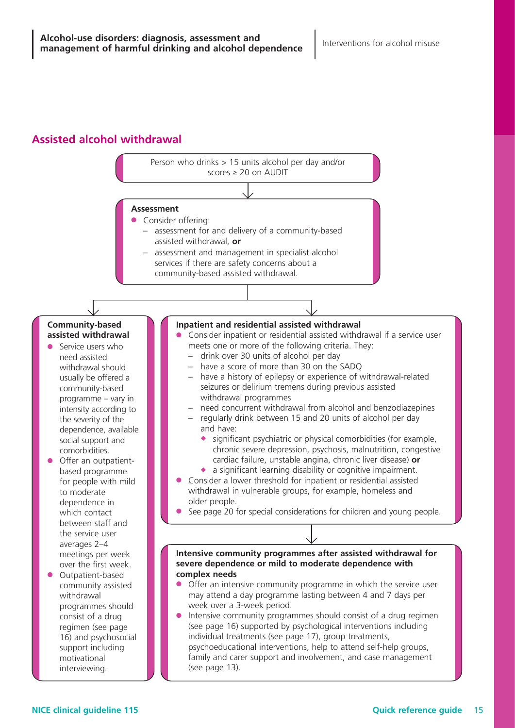## **Assisted alcohol withdrawal**

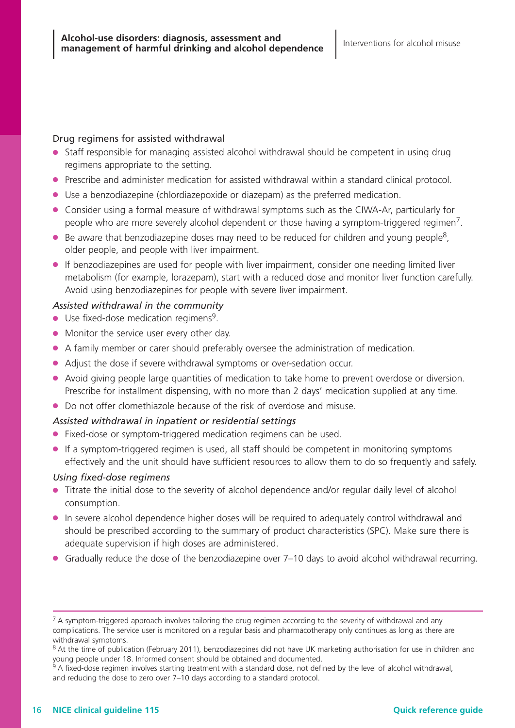#### Drug regimens for assisted withdrawal

- Staff responsible for managing assisted alcohol withdrawal should be competent in using drug regimens appropriate to the setting.
- Prescribe and administer medication for assisted withdrawal within a standard clinical protocol.
- Use a benzodiazepine (chlordiazepoxide or diazepam) as the preferred medication.
- Consider using a formal measure of withdrawal symptoms such as the CIWA-Ar, particularly for people who are more severely alcohol dependent or those having a symptom-triggered regimen<sup>7</sup>.
- $\bullet$  Be aware that benzodiazepine doses may need to be reduced for children and young people<sup>8</sup>, older people, and people with liver impairment.
- If benzodiazepines are used for people with liver impairment, consider one needing limited liver metabolism (for example, lorazepam), start with a reduced dose and monitor liver function carefully. Avoid using benzodiazepines for people with severe liver impairment.

#### *Assisted withdrawal in the community*

- $\bullet$  Use fixed-dose medication regimens<sup>9</sup>.
- Monitor the service user every other day.
- A family member or carer should preferably oversee the administration of medication.
- Adjust the dose if severe withdrawal symptoms or over-sedation occur.
- Avoid giving people large quantities of medication to take home to prevent overdose or diversion. Prescribe for installment dispensing, with no more than 2 days' medication supplied at any time.
- Do not offer clomethiazole because of the risk of overdose and misuse.

#### *Assisted withdrawal in inpatient or residential settings*

- Fixed-dose or symptom-triggered medication regimens can be used.
- If a symptom-triggered regimen is used, all staff should be competent in monitoring symptoms effectively and the unit should have sufficient resources to allow them to do so frequently and safely.

#### *Using fixed-dose regimens*

- Titrate the initial dose to the severity of alcohol dependence and/or regular daily level of alcohol consumption.
- In severe alcohol dependence higher doses will be required to adequately control withdrawal and should be prescribed according to the summary of product characteristics (SPC). Make sure there is adequate supervision if high doses are administered.
- Gradually reduce the dose of the benzodiazepine over 7–10 days to avoid alcohol withdrawal recurring.

 $7$  A symptom-triggered approach involves tailoring the drug regimen according to the severity of withdrawal and any complications. The service user is monitored on a regular basis and pharmacotherapy only continues as long as there are withdrawal symptoms.

<sup>&</sup>lt;sup>8</sup> At the time of publication (February 2011), benzodiazepines did not have UK marketing authorisation for use in children and young people under 18. Informed consent should be obtained and documented.

A fixed-dose regimen involves starting treatment with a standard dose, not defined by the level of alcohol withdrawal, and reducing the dose to zero over 7–10 days according to a standard protocol.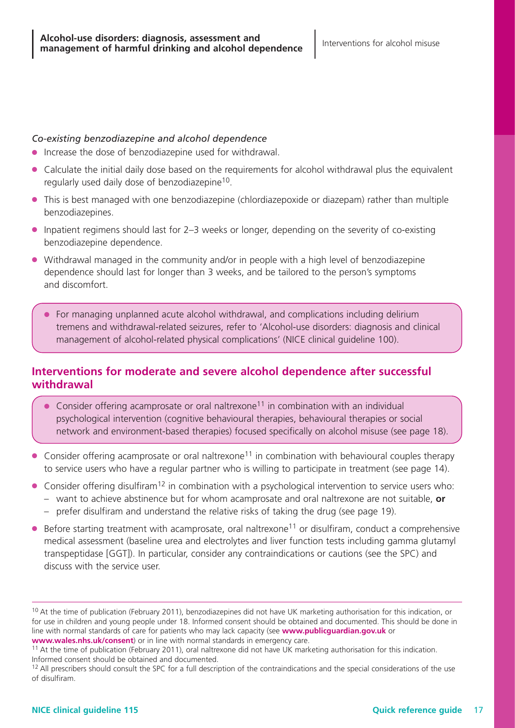#### *Co-existing benzodiazepine and alcohol dependence*

- Increase the dose of benzodiazepine used for withdrawal.
- Calculate the initial daily dose based on the requirements for alcohol withdrawal plus the equivalent regularly used daily dose of benzodiazepine<sup>10</sup>.
- This is best managed with one benzodiazepine (chlordiazepoxide or diazepam) rather than multiple benzodiazepines.
- Inpatient regimens should last for 2–3 weeks or longer, depending on the severity of co-existing benzodiazepine dependence.
- Withdrawal managed in the community and/or in people with a high level of benzodiazepine dependence should last for longer than 3 weeks, and be tailored to the person's symptoms and discomfort.
	- For managing unplanned acute alcohol withdrawal, and complications including delirium tremens and withdrawal-related seizures, refer to 'Alcohol-use disorders: diagnosis and clinical management of alcohol-related physical complications' (NICE clinical guideline 100).

## **Interventions for moderate and severe alcohol dependence after successful withdrawal**

- $\bullet$  Consider offering acamprosate or oral naltrexone<sup>11</sup> in combination with an individual psychological intervention (cognitive behavioural therapies, behavioural therapies or social network and environment-based therapies) focused specifically on alcohol misuse (see page 18).
- Consider offering acamprosate or oral naltrexone<sup>11</sup> in combination with behavioural couples therapy to service users who have a regular partner who is willing to participate in treatment (see page 14).
- $\bullet$  Consider offering disulfiram<sup>12</sup> in combination with a psychological intervention to service users who:
	- want to achieve abstinence but for whom acamprosate and oral naltrexone are not suitable, **or**
	- prefer disulfiram and understand the relative risks of taking the drug (see page 19).
- $\bullet$  Before starting treatment with acamprosate, oral naltrexone<sup>11</sup> or disulfiram, conduct a comprehensive medical assessment (baseline urea and electrolytes and liver function tests including gamma glutamyl transpeptidase [GGT]). In particular, consider any contraindications or cautions (see the SPC) and discuss with the service user.

<sup>&</sup>lt;sup>10</sup> At the time of publication (February 2011), benzodiazepines did not have UK marketing authorisation for this indication, or for use in children and young people under 18. Informed consent should be obtained and documented. This should be done in line with normal standards of care for patients who may lack capacity (see **www.publicguardian.gov.uk** or **www.wales.nhs.uk/consent**) or in line with normal standards in emergency care.

 $11$  At the time of publication (February 2011), oral naltrexone did not have UK marketing authorisation for this indication. Informed consent should be obtained and documented.

<sup>&</sup>lt;sup>12</sup> All prescribers should consult the SPC for a full description of the contraindications and the special considerations of the use of disulfiram.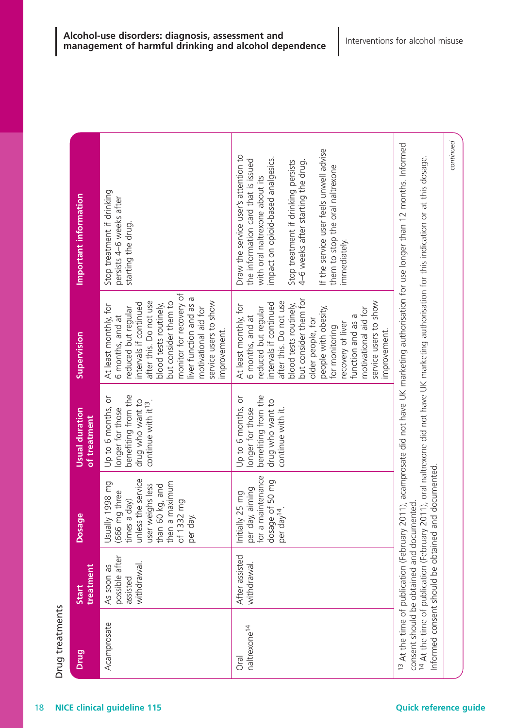| Drug treatments                  |                                                         |                                                                                                                                                                 | Usual duration                                                                                                        |                                                                                                                                                                                                                                                                                                                                                  | Important information                                                                                                                                                                                                                                                                                                          |
|----------------------------------|---------------------------------------------------------|-----------------------------------------------------------------------------------------------------------------------------------------------------------------|-----------------------------------------------------------------------------------------------------------------------|--------------------------------------------------------------------------------------------------------------------------------------------------------------------------------------------------------------------------------------------------------------------------------------------------------------------------------------------------|--------------------------------------------------------------------------------------------------------------------------------------------------------------------------------------------------------------------------------------------------------------------------------------------------------------------------------|
| Drug                             | treatment<br>Start                                      | ge<br>Dosa                                                                                                                                                      | of treatment                                                                                                          | Supervision                                                                                                                                                                                                                                                                                                                                      |                                                                                                                                                                                                                                                                                                                                |
| Acamprosate                      | possible after<br>withdrawal.<br>As soon as<br>assisted | unless the service<br>a maximum<br>Usually 1998 mg<br>weighs less<br>than 60 kg, and<br>(666 mg three<br>times a day)<br>of 1332 mg<br>per day.<br>then<br>user | benefiting from the<br>Up to 6 months, or<br>drug who want to<br>continue with it <sup>13</sup> .<br>longer for those | monitor for recovery of<br>liver function and as a<br>service users to show<br>after this. Do not use<br>but consider them to<br>intervals if continued<br>blood tests routinely,<br>At least monthly, for<br>reduced but regular<br>motivational aid for<br>6 months, and at<br>mprovement.                                                     | Stop treatment if drinking<br>persists 4-6 weeks after<br>starting the drug.                                                                                                                                                                                                                                                   |
| naltrexone <sup>14</sup><br>Oral | After assisted<br>withdrawal.                           | per day, aiming<br>for a maintenance<br>dosage of 50 mg<br>Initially 25 mg<br>per day <sup>14</sup> .                                                           | benefiting from the<br>Up to 6 months, or<br>drug who want to<br>longer for those<br>continue with it.                | but consider them for<br>service users to show<br>after this. Do not use<br>intervals if continued<br>blood tests routinely,<br>At least monthly, for<br>people with obesity,<br>reduced but regular<br>motivational aid for<br>function and as a<br>6 months, and at<br>older people, for<br>recovery of liver<br>for monitoring<br>mprovement. | If the service user feels unwell advise<br>Draw the service user's attention to<br>impact on opioid-based analgesics.<br>the information card that is issued<br>4-6 weeks after starting the drug.<br>Stop treatment if drinking persists<br>them to stop the oral naltrexone<br>with oral naltrexone about its<br>immediately |
|                                  | consent should be obtained and documented               | Informed consent should be obtained and documented                                                                                                              |                                                                                                                       |                                                                                                                                                                                                                                                                                                                                                  | <sup>13</sup> At the time of publication (February 2011), acamprosate did not have UK marketing authorisation for use longer than 12 months. Informed<br><sup>14</sup> At the time of publication (February 2011), oral naltrexone did not have UK marketing authorisation for this indication or at this dosage.              |
|                                  |                                                         |                                                                                                                                                                 |                                                                                                                       |                                                                                                                                                                                                                                                                                                                                                  | continued                                                                                                                                                                                                                                                                                                                      |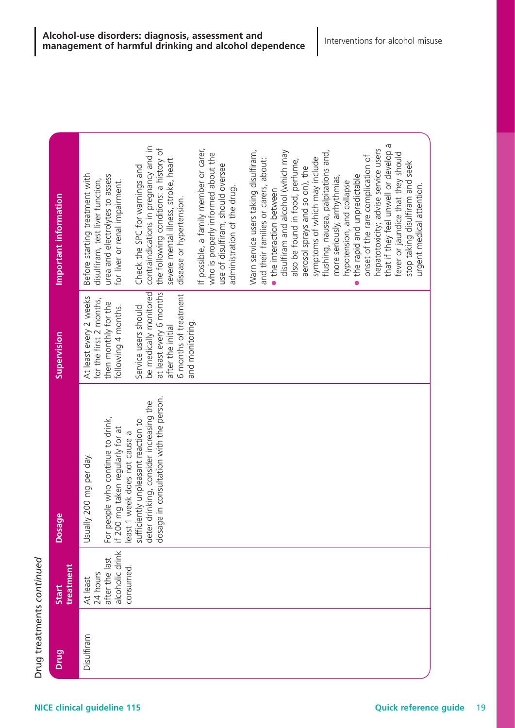| Drug       | treatment<br>Start                                                     | <b>Dosag</b>                                                                                                                                                  | Supervision                                                                                                             | Important information                                                                                                                                                                                                                                                |  |
|------------|------------------------------------------------------------------------|---------------------------------------------------------------------------------------------------------------------------------------------------------------|-------------------------------------------------------------------------------------------------------------------------|----------------------------------------------------------------------------------------------------------------------------------------------------------------------------------------------------------------------------------------------------------------------|--|
| Disulfiram | alcoholic drink<br>24 hours<br>after the last<br>consumed.<br>At least | ple who continue to drink,<br>For people who continue to drir<br>if 200 mg taken regularly for at<br>200 mg per day.<br><b>Usually</b>                        | At least every 2 weeks<br>for the first 2 months,<br>then monthly for the<br>following 4 months.                        | Before starting treatment with<br>urea and electrolytes to assess<br>disulfiram, test liver function,<br>for liver or renal impairment.                                                                                                                              |  |
|            |                                                                        | in consultation with the person.<br>least 1 week does not cause a<br>sufficiently unpleasant reaction to<br>deter drinking, consider increasing the<br>dosage | be medically monitored<br>at least every 6 months<br>6 months of treatment<br>Service users should<br>after the initial | contraindications in pregnancy and in<br>the following conditions: a history of<br>severe mental illness, stroke, heart<br>Check the SPC for warnings and<br>disease or hypertension.                                                                                |  |
|            |                                                                        |                                                                                                                                                               | and monitoring.                                                                                                         | If possible, a family member or carer,<br>who is properly informed about the<br>use of disulfiram, should oversee<br>administration of the drug.                                                                                                                     |  |
|            |                                                                        |                                                                                                                                                               |                                                                                                                         | Warn service users taking disulfiram,<br>disulfiram and alcohol (which may<br>and their families or carers, about:<br>the interaction between                                                                                                                        |  |
|            |                                                                        |                                                                                                                                                               |                                                                                                                         | flushing, nausea, palpitations and,<br>also be found in food, perfume,<br>symptoms of which may include<br>aerosol sprays and so on), the<br>more seriously, arrhythmias,                                                                                            |  |
|            |                                                                        |                                                                                                                                                               |                                                                                                                         | that if they feel unwell or develop a<br>hepatotoxicity; advise service users<br>fever or jaundice that they should<br>onset of the rare complication of<br>stop taking disulfiram and seek<br>the rapid and unpredictable<br>hypotension, and collapse<br>$\bullet$ |  |
|            |                                                                        |                                                                                                                                                               |                                                                                                                         | urgent medical attention.                                                                                                                                                                                                                                            |  |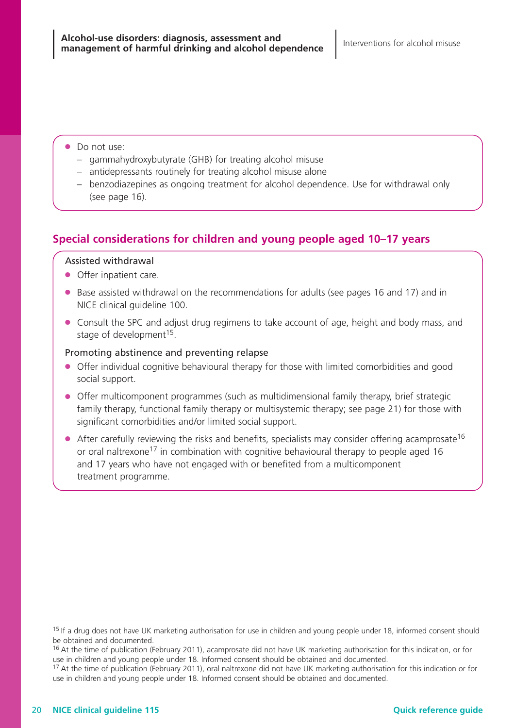- Do not use:
	- gammahydroxybutyrate (GHB) for treating alcohol misuse
	- antidepressants routinely for treating alcohol misuse alone
	- benzodiazepines as ongoing treatment for alcohol dependence. Use for withdrawal only (see page 16).

## **Special considerations for children and young people aged 10–17 years**

#### Assisted withdrawal

- Offer inpatient care.
- Base assisted withdrawal on the recommendations for adults (see pages 16 and 17) and in NICE clinical guideline 100.
- Consult the SPC and adjust drug regimens to take account of age, height and body mass, and stage of development<sup>15</sup>.

#### Promoting abstinence and preventing relapse

- Offer individual cognitive behavioural therapy for those with limited comorbidities and good social support.
- Offer multicomponent programmes (such as multidimensional family therapy, brief strategic family therapy, functional family therapy or multisystemic therapy; see page 21) for those with significant comorbidities and/or limited social support.
- $\bullet$  After carefully reviewing the risks and benefits, specialists may consider offering acamprosate<sup>16</sup> or oral naltrexone<sup>17</sup> in combination with cognitive behavioural therapy to people aged 16 and 17 years who have not engaged with or benefited from a multicomponent treatment programme.

<sup>&</sup>lt;sup>15</sup> If a drug does not have UK marketing authorisation for use in children and young people under 18, informed consent should be obtained and documented.

<sup>&</sup>lt;sup>16</sup> At the time of publication (February 2011), acamprosate did not have UK marketing authorisation for this indication, or for use in children and young people under 18. Informed consent should be obtained and documented.

<sup>&</sup>lt;sup>17</sup> At the time of publication (February 2011), oral naltrexone did not have UK marketing authorisation for this indication or for use in children and young people under 18. Informed consent should be obtained and documented.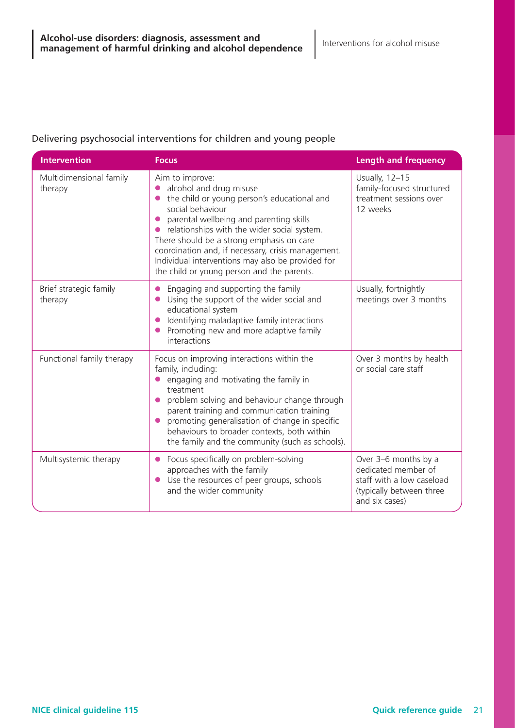### Delivering psychosocial interventions for children and young people

| <b>Intervention</b>                | <b>Focus</b>                                                                                                                                                                                                                                                                                                                                                                                                  | <b>Length and frequency</b>                                                                                            |
|------------------------------------|---------------------------------------------------------------------------------------------------------------------------------------------------------------------------------------------------------------------------------------------------------------------------------------------------------------------------------------------------------------------------------------------------------------|------------------------------------------------------------------------------------------------------------------------|
| Multidimensional family<br>therapy | Aim to improve:<br>alcohol and drug misuse<br>the child or young person's educational and<br>social behaviour<br>parental wellbeing and parenting skills<br>relationships with the wider social system.<br>There should be a strong emphasis on care<br>coordination and, if necessary, crisis management.<br>Individual interventions may also be provided for<br>the child or young person and the parents. | Usually, 12-15<br>family-focused structured<br>treatment sessions over<br>12 weeks                                     |
| Brief strategic family<br>therapy  | Engaging and supporting the family<br>Using the support of the wider social and<br>educational system<br>Identifying maladaptive family interactions<br>Promoting new and more adaptive family<br>interactions                                                                                                                                                                                                | Usually, fortnightly<br>meetings over 3 months                                                                         |
| Functional family therapy          | Focus on improving interactions within the<br>family, including:<br>engaging and motivating the family in<br>treatment<br>problem solving and behaviour change through<br>parent training and communication training<br>promoting generalisation of change in specific<br>behaviours to broader contexts, both within<br>the family and the community (such as schools).                                      | Over 3 months by health<br>or social care staff                                                                        |
| Multisystemic therapy              | Focus specifically on problem-solving<br>approaches with the family<br>Use the resources of peer groups, schools<br>and the wider community                                                                                                                                                                                                                                                                   | Over 3-6 months by a<br>dedicated member of<br>staff with a low caseload<br>(typically between three<br>and six cases) |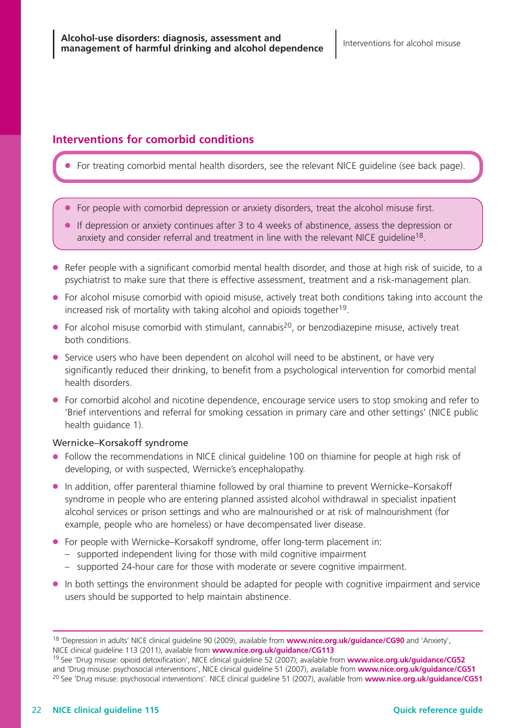## **Interventions for comorbid conditions**

For treating comorbid mental health disorders, see the relevant NICE guideline (see back page).

- For people with comorbid depression or anxiety disorders, treat the alcohol misuse first.
- If depression or anxiety continues after 3 to4weeks of abstinence, assess the depression or anxiety and consider referral and treatment in line with the relevant NICE guideline<sup>18</sup>.
- Refer people with a significant comorbid mental health disorder, and those at high risk of suicide, to a psychiatrist to make sure that there is effective assessment, treatment and a risk-management plan.
- For alcohol misuse comorbid with opioid misuse, actively treat both conditions taking into account the increased risk of mortality with taking alcohol and opioids together<sup>19</sup>.
- $\bullet$  For alcohol misuse comorbid with stimulant, cannabis<sup>20</sup>, or benzodiazepine misuse, actively treat both conditions.
- Service users who have been dependent on alcohol will need to be abstinent, or have very significantly reduced their drinking, to benefit from a psychological intervention for comorbid mental health disorders.
- For comorbid alcohol and nicotine dependence, encourage service users to stop smoking and refer to 'Brief interventions and referral for smoking cessation in primary care and other settings' (NICE public health guidance 1).

#### Wernicke–Korsakoff syndrome

- Follow the recommendations in NICE clinical guideline 100 on thiamine for people at high risk of developing, or with suspected, Wernicke's encephalopathy.
- In addition, offer parenteral thiamine followed by oral thiamine to prevent Wernicke–Korsakoff syndrome in people who are entering planned assisted alcohol withdrawal in specialist inpatient alcohol services or prison settings and who are malnourished or at risk of malnourishment (for example, people who are homeless) or have decompensated liver disease.
- For people with Wernicke–Korsakoff syndrome, offer long-term placement in:
	- supported independent living for those with mild cognitive impairment
	- supported 24-hour care for those with moderate or severe cognitive impairment.
- In both settings the environment should be adapted for people with cognitive impairment and service users should be supported to help maintain abstinence.

<sup>18</sup> 'Depression in adults' NICE clinical guideline 90 (2009), available from **www.nice.org.uk/guidance/CG90** and 'Anxiety', NICE clinical guideline 113 (2011), available from **www.nice.org.uk/guidance/CG113**

<sup>19</sup> See 'Drug misuse: opioid detoxification', NICE clinical guideline 52 (2007), available from **www.nice.org.uk/guidance/CG52** and 'Drug misuse: psychosocial interventions', NICE clinical guideline 51 (2007), available from **www.nice.org.uk/guidance/CG51** <sup>20</sup> See 'Drug misuse: psychosocial interventions'. NICE clinical guideline 51 (2007), available from **www.nice.org.uk/guidance/CG51**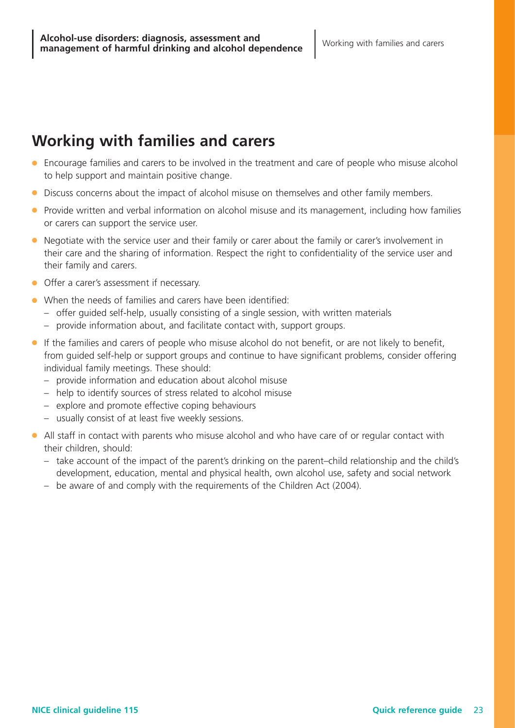## **Working with families and carers**

- Encourage families and carers to be involved in the treatment and care of people who misuse alcohol to help support and maintain positive change.
- Discuss concerns about the impact of alcohol misuse on themselves and other family members.
- Provide written and verbal information on alcohol misuse and its management, including how families or carers can support the service user.
- Negotiate with the service user and their family or carer about the family or carer's involvement in their care and the sharing of information. Respect the right to confidentiality of the service user and their family and carers.
- Offer a carer's assessment if necessary.
- When the needs of families and carers have been identified:
	- offer guided self-help, usually consisting of a single session, with written materials
	- provide information about, and facilitate contact with, support groups.
- If the families and carers of people who misuse alcohol do not benefit, or are not likely to benefit, from guided self-help or support groups and continue to have significant problems, consider offering individual family meetings. These should:
	- provide information and education about alcohol misuse
	- help to identify sources of stress related to alcohol misuse
	- explore and promote effective coping behaviours
	- usually consist of at least five weekly sessions.
- All staff in contact with parents who misuse alcohol and who have care of or regular contact with their children, should:
	- take account of the impact of the parent's drinking on the parent–child relationship and the child's development, education, mental and physical health, own alcohol use, safety and social network
	- be aware of and comply with the requirements of the Children Act (2004).